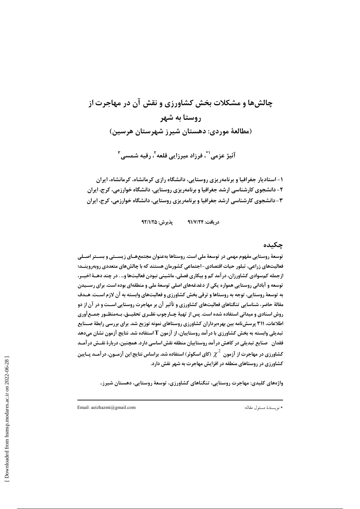# چالشها و مشکلات بخش کشاورزی و نقش آن در مهاجرت از روستا به شهر (مطالعهٔ موردی: دهستان شیرز شهرستان هرسین) آئیژ عزمی' ؓ، فرزاد میرزایی قلعه'، رقیه شمسی ِ ؓ

۱- استادیار جغرافیا و برنامهریزی روستایی، دانشگاه رازی کرمانشاه، کرمانشاه، ایران ۲- دانشجوی کارشناسی ارشد جغرافیا و برنامهریزی روستایی، دانشگاه خوارزمی، کرج، ایران ۳- دانشجوی کارشناسی ارشد جغرافیا و برنامهریزی روستایی، دانشگاه خوارزمی، کرج، ایران

> يذيرش: ٩٢/١/٢۵ د, یافت: ۹۱/۷/۲۴

# چکىدە

توسعهٔ روستایی مفهوم مهمی در توسعهٔ ملی است. روستاها بهعنوان مجتمعهــای زیســتی و بســتر اصــلی فعالیتهای زراعی، تبلور حیات اقتصادی-اجتماعی کشورمان هستند که با چالشهای متعددی روبهروینــد؛ ازجمله کمسوادی کشاورزان، در آمد کم و بیکاری فصلی، ماشینی نبودن فعالیتها و… . در چند دهــهٔ اخیــر، توسعه و آبادانی روستایی همواره یکی از دغدغههای اصلی توسعهٔ ملی و منطقهای بوده است. برای رســیدن به توسعهٔ روستایی، توجه به روستاها و ترقی بخش کشاورزی و فعالیتهای وابسته به آن لازم اسـت. هـدف مقالهٔ حاضر، شناسایی تنگناهای فعالیتهای کشاورزی و تأثیر آن بر مهاجرت روستایی اســت و در آن از دو روش اسنادی و میدانی استفاده شده است. پس از تهیهٔ چـارچوب نظـری تحقیــق، بـهمنظـور جمـع آوری اطلاعات، ۳۱۱ پرسشنامه بین بهرهبرداران کشاورزی روستاهای نمونه توزیع شد. برای بررسی رابطهٔ صــنایع تبدیلی وابسته به بخش کشاورزی با در آمد روستاییان، از آزمون T استفاده شد. نتایج آزمون نشان میدهد فقدان \_صنایع تبدیلی در کاهش در آمد روستاییان منطقه نقش اساسی دارد. همچنین، دربارهٔ نقــش در آمــد کشاورزی در مهاجرت از آزمون  $\chi^2$  (کای اسکوئر) استفاده شد. براساس نتایج این آزمــون، در آمــد پــایین کشاورزی در روستاهای منطقه در افزایش مهاجرت به شهر نقش دارد.

واژەهای کلیدی: مهاجرت روستایی، تنگناهای کشاورزی، توسعهٔ روستایی، دهستان شیرز.

Email: aeizhazmi@gmail.com

\* نويسندهٔ مسئول مقاله: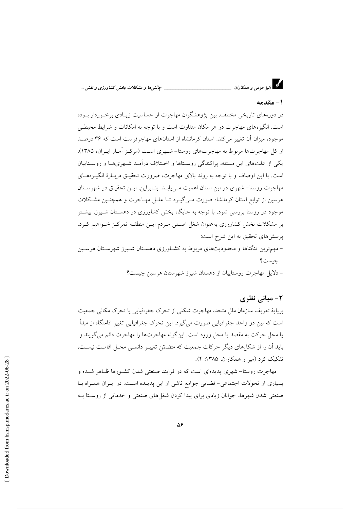د.<br>دا آئیژ عزمی و همکاران \_\_\_\_\_\_\_ \_\_ چالش ها و مشکلات بخش کشاورزی و نقش ...

### 1 – مقدمه

در دورههای تاریخی مختلف، بین یژوهشگران مهاجرت از حساسیت زیـادی برخـوردار بـوده است. انگیزههای مهاجرت در هر مکان متفاوت است و با توجه به امکانات و شرایط محیطبی موجود، میزان آن تغییر می کند. استان کرمانشاه از استانهای مهاجرفرست است که ۳۶ درصد از کل مهاجرتها مربوط به مهاجرتهای روستا– شبهری است (مرکبز آمیار ایبران، ۱۳۸۵). یکی از علتهای این مسئله، پراکندگی روستاها و اخـتلاف درآمـد شـهریهـا و روسـتاییان است. با این اوصاف و با توجه به روند بالای مهاجرت، ضرورت تحقیـق دربـارهٔ انگیـزههــای مهاجرت روستا- شهری در این استان اهمیت مـیbیابـد. بنـابراین، ایـن تحقیـق در شهرسـتان هرسین از توابع استان کرمانشاه صورت مـیگیـرد تـا علـل مهـاجرت و همچنـین مشـکلات موجود در روستا بررسی شود. با توجه به جایگاه بخش کشاورزی در دهسـتان شـیرز، بیشـتر بر مشکلات بخش کشاورزی بهعنوان شغل اصـلی مـردم ایـن منطقـه تمرکـز خـواهیم کـرد. یرسشهای تحقیق به این شرح است: – مهمترین تنگناها و محدودیتهای مربوط به کشـاورزی دهسـتان شـیرز شهرسـتان هرسـین چيست؟

– دلایل مهاجرت روستاییان از دهستان شیرز شهرستان هرسین چیست؟

## ۲- مبانی نظری

برپایهٔ تعریف سازمان ملل متحد، مهاجرت شکلی از تحرک جغرافیایی یا تحرک مکانی جمعیت است که بین دو واحد جغرافیایی صورت می گیرد. این تحرک جغرافیایی تغییر اقامتگاه از مبدأ يا محل حركت به مقصد يا محل ورود است. اين گونه مهاجرتها را مهاجرت دائم مي گويند و باید آن را از شکل های دیگر حرکات جمعیت که متضمّن تغییـر دائمـی محـل اقامـت نیسـت، تفکیک کرد (میر و همکاران، ۱۳۸۵: ۴).

مهاجرت روستا– شهری پدیدهای است که در فرایند صنعتی شدن کشـورها ظـاهر شـده و بسیاری از تحولات اجتماعی- فضایی جوامع ناشی از این پدیـده اسـت. در ایـران همـراه بـا صنعتی شدن شهرها، جوانان زیادی برای پیدا کردن شغلهای صنعتی و خدماتی از روستا بـه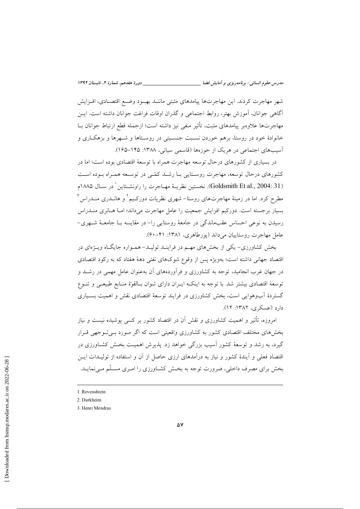شهر مهاجرت کردند. این مهاجرتها پیامدهای مثبتی ماننـد بهبـود وضـع اقتصـادی، افـزایش آگاهی جوانان، آموزش بهتر، روابط اجتماعی و گذران اوقات فراغت جوانان داشته است. ایــن مهاجرتها علاوهبر پیامدهای مثبت، تأثیر منفی نیز داشته است؛ ازجمله قطع ارتباط جوانان بــا خانوادهٔ خود در روستا، برهم خوردن نسـبت جنسـیتی در روسـتاها و شـهرها و بزهکـاری و آسیبهای اجتماعی در هریک از حوزهها (قاسمی سیانی، ۱۳۸۸: ۱۴۵–۱۶۵).

در بسیاری از کشورهای درحال توسعه مهاجرت همراه با توسعهٔ اقتصادی بوده است؛ اما در کشورهای درحال توسعه، مهاجرت روستایی بـا رشـد کمّـی در توسـعه همـراه بـوده اسـت (Goldsmith Et al., 2004: 31). نخستين نظريــة مهــاجرت را راونشـتاين ' در ســال ١٨٨٥م مطرح کرد. اما در زمینهٔ مهاجرتهای روستا– شهری نظریات دورکـیم <sup>۱</sup> و هانــدری منــدراس ۳ بسیار برجسته است. دورکیم افزایش جمعیت را عامل مهاجرت میداند؛ امـا هــانری منــدراس رسیدن به نوعی احساس عقبماندگی در جامعهٔ روستایی را– در مقایسه بـا جامعــهٔ شــهری– عامل مهاجرت روستاییان می داند (پورطاهری، ۱۳۸۱: ۴۱-۶۰).

بخش کشاورزی- یکی از بخشهای مهـم در فراینـد تولیـد- همـواره جایگـاه ویـژهای در اقتصاد جهانی داشته است؛ بهویژه پس از وقوع شوکهای نفتی دههٔ هفتاد که به رکود اقتصادی در جهان غرب انجامید. توجه به کشاورزی و فرآوردههای آن بهعنوان عامل مهمی در رشــد و توسعهٔ اقتصادی بیشتر شد. با توجه به اینکـه ایـران دارای تـوان بـالقوّة منـابع طبیعـی و تنـوع گستردهٔ اَبوهوایی است، بخش کشاورزی در فرایند توسعهٔ اقتصادی نقش و اهمیت بسـیاری دارد (عسکری، ۱۳۸۲: ۱۲).

امروزه، تأثیر و اهمیت کشاورزی و نقش آن در اقتصاد کشور بر کسی پوشیده نیست و نیاز بخشهای مختلف اقتصادی کشور به کشاورزی واقعیتی است که اگر مـورد بـیتـوجهی قـرار گیرد، به رشد و توسعهٔ کشور اسیب بزرگی خواهد زد. پذیرش اهمیـت بخـش کشــاورزی در اقتصاد فعلی و آیندهٔ کشور و نیاز به درآمدهای ارزی حاصل از آن و استفاده از تولیـدات ایــن بخش برای مصرف داخلی، ضرورت توجه به بخش کشـاورزی را امـری مسـلّم مـی نمایـد.

<sup>1.</sup> Revenshtein

<sup>2.</sup> Durkheim

<sup>3.</sup> Henri Mendras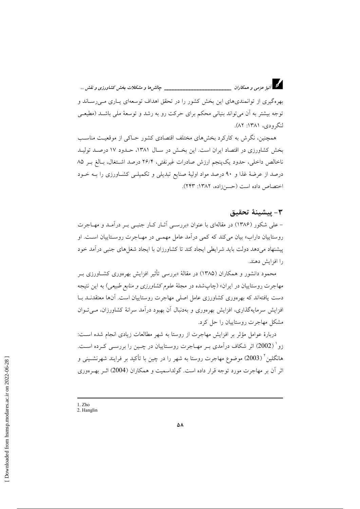

بهرهگیری از توانمندیهای این بخش کشور را در تحقق اهداف توسعهای پــاری مــی(ســاند و توجه بیشتر به آن می تواند بنیانی محکم برای حرکت رو به رشد و توسعهٔ ملی باشـد (مطیعـی لنگرودي، ۱۳۸۱: ۸۲).

همچنین، نگرش به کارکرد بخشهای مختلف اقتصادی کشور حـاکی از موقعیـت مناسـب بخش کشاورزی در اقتصاد ایران است. این بخش در سـال ۱۳۸۱، حـدود ۱۷ درصـد تولیـد ناخالص داخلي، حدود يک پنجم ارزش صادرات غيرنفتي، ٢۶/۴ درصد اشتغال، بـالغ بـر ٨۵ درصد از عرضهٔ غذا و ۹۰ درصد مواد اولیهٔ صنایع تبدیلی و تکمیلـی کشـاورزی را بـه خــود اختصاص داده است (حسنزاده، ۱۳۸۲: ۲۴۳).

### ٣- يىشىنۀ تحقىق

– علی شکور (۱۳۸۶) در مقالهای با عنوان «بررسے آثـار کـار جنبے بـر درآمـد و مهـاجرت روستاییان داراب» بیان می کند که کمی درآمد عامل مهمـی در مهــاجرت روسـتاییان اسـت. او ییشنهاد می دهد دولت باید شرایطی ایجاد کند تا کشاورزان با ایجاد شغل های جنبی درآمد خود را افزایش دهند.

محمود دانشور و همکاران (۱۳۸۵) در مقالهٔ «بررسی تأثیر افزایش بهرهوری کشــاورزی بــر مهاجرت روستاییان در ایران» (چاپشده در مجلهٔ *علوم کشاورزی و منابع طبیعی*) به این نتیجه دست یافتهاند که بهرهوری کشاورزی عامل اصلی مهاجرت روستاییان است. آنها معتقدنــد بــا افزایش سرمایهگذاری، افزایش بهرهوری و بهدنبال آن بهبود درآمد سرانهٔ کشاورزان، میتوان مشکل مهاجرت روستاییان را حل کرد.

دربارهٔ عوامل مؤثِّر بر افزایش مهاجرت از روستا به شهر مطالعات زیادی انجام شده است: زو` (2002) اثر شکاف درآمدی بـر مهـاجرت روسـتاییان در چــین را بررســی کــرده اســت. هانگلین<sup>۲</sup> (2003) موضوع مهاجرت روستا به شهر را در چین با تأکید بر فرایند شهرنشـینی و اثر آن بر مهاجرت مورد توجه قرار داده است. گولداسمیت و همکاران (2004) اثـر بهـر موری

<sup>1.</sup> Zho

<sup>2.</sup> Hanglin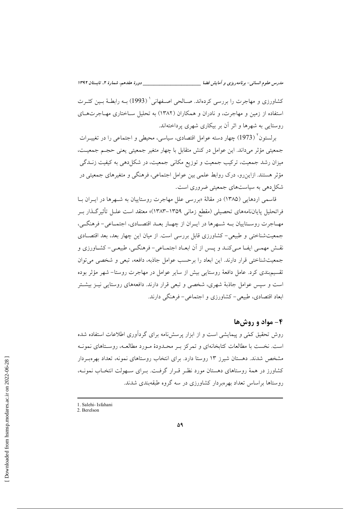کشاورزی و مهاجرت را بررسی کردهاند. صبالحی اصبفهانی ( 1993) بیه رابطیهٔ بسین کثیرت استفاده از زمین و مهاجرت، و نادران و همکاران (۱۳۸۲) به تحلیل ســاختاری مهــاجرتهــای روستایی به شهرها و اثر آن بر بیکاری شهری پرداختهاند.

برلستون ٔ (1973) چهار دسته عوامل اقتصادی، سیاسی، محیطی و اجتماعی را در تغییــرات جمعیتی مؤثر می(داند. این عوامل در کنش متقابل با چهار متغیر جمعیتی یعنی حجـم جمعیـت، میزان رشد جمعیت، ترکیب جمعیت و توزیع مکانی جمعیت، در شکل(دهی به کیفیت زنــدگی مؤثر هستند. ازاین رو، درک روابط علمی بین عوامل اجتماعی، فرهنگی و متغیرهای جمعیتی در شکل دهی به سیاستهای جمعیتی ضروری است.

قاسمی اردهایی (۱۳۸۵) در مقالهٔ «بررسی علل مهاجرت روستاییان به شـهرها در ایـران بـا فراتحليل پاياننامههاي تحصيلي (مقطع زماني ١٣۵٩–١٣٨٣)» معتقد است عليل تأثير گـذار بـر مهـاجرت روسـتاييان بـه شـهرها در ايـران از چهـار بعـد اقتصـادي، اجتمـاعي- فرهنگـي، جمعیتشناختی و طبیعی-کشاورزی قابل بررسی است. از میان این چهار بعد، بعد اقتصادی نقـش مهمـي ايفــا مـي كنــد و پــس از آن ابعــاد اجتمــاعي- فرهنگــي، طبيعــي- كشــاورزي و جمعیتشناختی قرار دارند. این ابعاد را برحسب عوامل جاذبه، دافعه، تبعی و شخصی می توان تقسیم بندی کرد. عامل دافعهٔ روستایی بیش از سایر عوامل در مهاجرت روستا– شهر مؤثر بوده است و سپس عوامل جاذبهٔ شهری، شخصی و تبعی قرار دارند. دافعههای روستایی نیـز بیشـتر ابعاد اقتصادی، طبیع – کشاورزی و اجتماعی – فرهنگی دارند.

## ۴- مواد و روش ها

روش تحقیق کمّی و پیمایشی است و از ابزار پرسش نامه برای گردآوری اطلاعات استفاده شده است. نخست با مطالعات کتابخانهای و تمرکز بـر محـدودهٔ مـورد مطالعـه، روسـتاهای نمونـه مشخص شدند. دهستان شیرز ۱۳ روستا دارد. برای انتخاب روستاهای نمونه، تعداد بهرهبـردار کشاورز در همهٔ روستاهای دهستان مورد نظـر قـرار گرفـت. بـرای سـهولت انتخـاب نمونـه، روستاها براساس تعداد بهرهبردار کشاورزی در سه گروه طبقهبندی شدند.

<sup>1</sup> Salehi- Isfahani

<sup>2.</sup> Berelson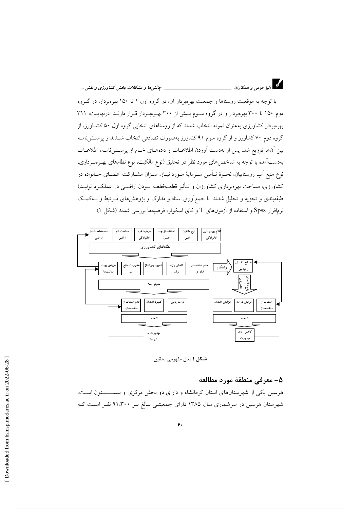

با توجه به موقعیت روستاها و جمعیت بهرهبردار آن، در گروه اول ۱ تا ۱۵۰ بهرهبردار، در گـروه دوم ۱۵۰ تا ۳۰۰ بهرهبردار و در گروه سـوم بـیش از ۳۰۰ بهـرهبـردار قـرار دارنـد. درنهایـت، ۳۱۱ بهرهبردار کشاورزی بهعنوان نمونه انتخاب شدند که از روستاهای انتخابی گروه اول ۵۰ کشـاورز، از گروه دوم ۷۰ کشاورز و از گروه سوم ۹۱ کشاورز بهصورت تصادفی انتخاب شــدند و پرســشiمــه بین آنها توزیع شد. پس از بهدست آوردن اطلاعیات و دادههای خیام از پرستشنامه، اطلاعیات بهدستآمده با توجه به شاخصهای مورد نظر در تحقیق (نوع مالکیت، نوع نظامهای بهــرهبــرداری، نوع منبع آب روستاییان، نحـوهٔ تــأمین ســرمایهٔ مــورد نیــاز، میــزان مشــارکت اعضــای خــانواده در کشاورزی، مساحت بهرهبرداری کشاورزان و تـأثیر قطعـهقطعـه بــودن اراضــی در عملکــرد تولیــد) طبقهبندی و تجزیه و تحلیل شدند. با جمعآوری اسناد و مدارک و پژوهشهای مـرتبط و بـهکمـک نرمافزار Spss و استفاده از آزمونهای T و کای اسکوئر، فرضیهها بررسی شدند (شکل ۱).



شکل ۱ مدل مفهومی تحقیق

#### ۵- معرفی منطقهٔ مورد مطالعه

هرسین یکی از شهرستانهای استان کرمانشاه و دارای دو بخش مرکزی و بیســــــتون اسـت. شهرستان هرسین در سرشماری سال ۱۳۸۵ دارای جمعیتـی بـالغ بـر ۹۱٬۳۰۰ نفـر اسـت کـه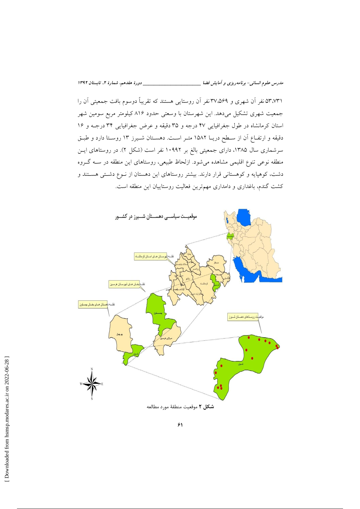\_\_\_\_\_ دورهٔ هفدهم، شمارهٔ ۲، تابستان ۱۳۹۲

مدرس علوم انسانی- برنامه دیزی و آمایش فضا \_\_

۵۳،۷۳۱ نفر آن شهری و ۳۷،۵۶۹ نفر آن روستایی هستند که تقریباً دوسوم بافت جمعیتی آن را جمعیت شهری تشکیل میدهد. این شهرستان با وسعتی حدود ۸۱۶ کیلومتر مربع سومین شهر استان کرمانشاه در طول جغرافیایی ۴۷ درجه و ۳۵ دقیقه و عرض جغرافیایی ۳۴ درجـه و ۱۶ دقیقه و ارتفـاع آن از سـطح دریــا ۱۵۸۲ متــر اســت. دهســتان شــیرز ۱۳ روســتا دارد و طبــق سرشماری سال ۱۳۸۵، دارای جمعیتی بالغ بر ۱۰۹۹۲ نفر است (شکل ۲). در روستاهای ایـن منطقه نوعی تنوع اقلیمی مشاهده می شود. ازلحاظ طبیعی، روستاهای این منطقه در سـه گـروه دشت، کوهپایه و کوهستانی قرار دارند. بیشتر روستاهای این دهستان از نـوع دشـتی هسـتند و کشت گندم، باغداری و دامداری مهمترین فعالیت روستاییان این منطقه است.

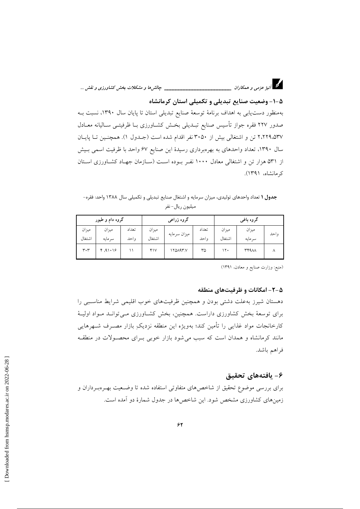

۵–۱– وضعیت صنایع تبدیلی و تکمیلی استان کرمانشاه بهمنظور دست یابی به اهداف برنامهٔ توسعهٔ صنایع تبدیلی استان تا پایان سال ۱۳۹۰، نسبت بـه صدور ٢٢٧ فقره جواز تأسيس صنايع تبـديلي بخــش كشــاورزى بــا ظرفيتــي ســاليانه معــادل ۲٬۲۲۹٬۵۳۷ تن و اشتغالی بیش از ۳۰۵۰ نفر اقدام شده است (جــدول ۱). همچنـین تــا پایــان سال ۱۳۹۰، تعداد واحدهای به بهرهبرداری رسیدهٔ این صنایع ۶۷ واحد با ظرفیت اسمی بـیش از ۵۳۱ هزار تن و اشتغالی معادل ۱۰۰۰ نفـر بـوده اسـت (سـازمان جهـاد کشـاورزی اسـتان کر مانشاه، ۱۳۹۱).

جدول ١ تعداد واحدهای تولیدی، میزان سرمایه و اشتغال صنایع تبدیلی و تکمیلی سال ١٣٨٨ واحد: فقره-ميليون ريال-نفر

| گروه دام و طیور             |                 |               | گروه زراعی      |              |                | گروه باغی       |                  |       |
|-----------------------------|-----------------|---------------|-----------------|--------------|----------------|-----------------|------------------|-------|
| ميزان<br>اشتغال             | ميزان<br>سرمايه | تعداد<br>واحد | ميزان<br>اشتغال | ميزان سرمايه | تعداد<br>و احد | ميزان<br>اشتغال | ميزان<br>سر مایه | و احد |
| $\mathsf{r}\cdot\mathsf{r}$ | ۱۶ ۱۰۱۶، ۴      |               | ۴۱۷             | ۱۲۵۸۹۳.۷     | ٣۵             | ۱۲۰             | <b>٣۴٩٨٨</b>     |       |

(منبع: وزارت صنایع و معادن، ۱۳۹۱)

### ۵–۲– امکانات و ظرفیتهای منطقه

دهستان شیرز به علت دشتی بودن و همچنین ظرفیتهای خوب اقلیمی شرایط مناسبی را برای توسعهٔ بخش کشاورزی داراست. همچنین، بخش کشـاورزی مـیتوانـد مـواد اولیــهٔ كارخانجات مواد غذايى را تأمين كند؛ بهويژه اين منطقه نزديكِ بازار مصـرف شــهرهايى مانند کرمانشاه و همدان است که سبب می شود بازار خوبی بـرای محصـولات در منطقـه فراهم باشد.

## ۶- يافتەھاي تحقيق

برای بررسی موضوع تحقیق از شاخصهای متفاوتی استفاده شده تا وضـعیت بهـرّوبـرداران و زمینهای کشاورزی مشخص شود. این شاخصها در جدول شمارهٔ دو آمده است.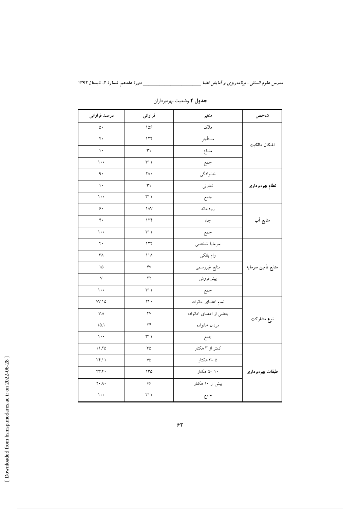مدرس علوم انسانی- برنامه ریزی و آمایش فضا \_\_\_\_\_\_\_\_\_\_\_\_\_\_\_\_\_\_\_\_\_\_\_\_\_\_\_\_\_\_ دورهٔ هفدهم، شمارهٔ ۲، تابستان ۱۳۹۲

| درصد فراوانى         | فراوانى                       | متغير                 | شاخص               |  |
|----------------------|-------------------------------|-----------------------|--------------------|--|
| ۵۰                   | 109                           | مالک                  |                    |  |
| $\mathfrak{r}$ .     | 174                           | مستأجر                | اشكال مالكيت       |  |
| $\mathcal{N}$        | ٣١                            | مشاع                  |                    |  |
| $\cdots$             | ۱ ۱ ۳                         | جمع                   |                    |  |
| ٩.                   | ٢Λ٠                           | خانوادگي              |                    |  |
| ١٠                   | ٣١                            | تعاوني                | نطام بهرهبردارى    |  |
| $\cdots$             | ۳۱۱                           | جمع                   |                    |  |
| ۶.                   | $\lambda$                     | رودخانه               |                    |  |
| $\mathbf{r}$ .       | 174                           | چاه                   | منابع آب           |  |
| $\cdots$             | ۳۱۱                           | جمع                   |                    |  |
| $\mathbf{r}$ .       | 174                           | سرماية شخصي           |                    |  |
| $\mathsf{r}_\Lambda$ | $\backslash\backslash\Lambda$ | وام بانکی             | منابع تأمين سرمايه |  |
| ۱۵                   | $\mathsf{Y} \vee$             | منابع غيررسمي         |                    |  |
| $\lor$               | ۲۲                            | پيشفروش               |                    |  |
| $\cdots$             | ۳۱۱                           | جمع                   |                    |  |
| $VV.\&$              | ۲۴۰                           | تمام اعضاي خانواده    |                    |  |
| VΛ                   | $\gamma$                      | بعضى از اعضاى خانواده | نوع مشاركت         |  |
| 10.1                 | ۲۴                            | مردان خانواده         |                    |  |
| $\mathcal{L}$        | ۳۱۱                           | جمع                   |                    |  |
| ۱۱.۲۵                | ٣۵                            | کمتر از ۳ هکتار       |                    |  |
| 74.11                | ٧۵                            | ۵ –۳ هکتار            |                    |  |
| ۴۳.۴۰                | 150                           | ۱۰ –۵ هکتار           | طبقات بهرهبرداري   |  |
| $Y \cdot .9 \cdot$   | ۶۶                            | بیش از ۱۰ هکتار       |                    |  |
| $\cdots$             | ۳۱۱                           | جمع                   |                    |  |

# جدول ٢ وضعيت بهرهبرداران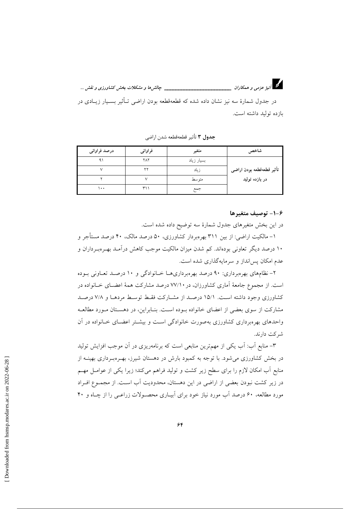در جدول شمارهٔ سه نیز نشان داده شده که قطعهقطعه بودن اراضی تـأثیر بسـیار زیـادی در بازده توليد داشته است.

جدول ٣ تأثير قطعهقطعه شدن اراضي

| درصد فراوانی | فراواني | متغير      | شاخص                      |
|--------------|---------|------------|---------------------------|
|              | ۲۸۲     | بسيار زياد |                           |
|              | v٧      | زياد       | تأثير قطعهقطعه بودن اراضى |
|              |         | متو سط     | در بازده تولید            |
| ۰۰۱          | ۱ ۱۳    | جمع        |                           |

### ۶–۱– توصيف متغيرها

در این بخش متغیرهای جدول شمارهٔ سه توضیح داده شده است.

۱– مالکیت اراضی: از بین ۳۱۱ بهرهبردار کشاورزی، ۵۰ درصد مالک، ۴۰ درصد مستأجر و ۱۰ درصد دیگر تعاونی بودهاند. کم شدن میزان مالکیت موجب کاهش درآمـد بهـر هبـرداران و عدم امکان پس انداز و سرمایهگذاری شده است.

۲– نظامهای بهرهبرداری: ۹۰ درصد بهرهبرداریهـا خـانوادگی و ۱۰ درصـد تعـاونی بـوده است. از مجموع جامعهٔ آماری کشاورزان، در ۷۷/۱۰ درصد مشارکت همهٔ اعضـای خــانواده در کشاورزی وجود داشته است. ۱۵/۱ درصد از مشـارکت فقـط توسـط مردهـا و ۷/۸ درصـد مشارکت از سوی بعضی از اعضای خانواده بـوده اسـت. بنـابراین، در دهسـتان مـورد مطالعـه واحدهای بهرهبرداری کشاورزی بهصورت خانوادگی است و بیشتر اعضـای خـانواده در آن شر کت دارند.

۳– منابع آب: آب یکی از مهمترین منابعی است که برنامهریزی در آن موجب افزایش تولید در بخش کشاورزی میشود. با توجه به کمبود بارش در دهستان شیرز، بهـرهبـرداری بهینــه از منابع آب امکان لازم را برای سطح زیر کشت و تولید فراهم میکند؛ زیرا یکی از عوامـل مهــم در زیر کشت نبودن بعضی از اراضی در این دهستان، محدودیت آب است. از مجمـوع افـراد مورد مطالعه، ۶۰ درصد آب مورد نیاز خود برای آبیـاری محصـولات زراعـی را از چـاه و ۴۰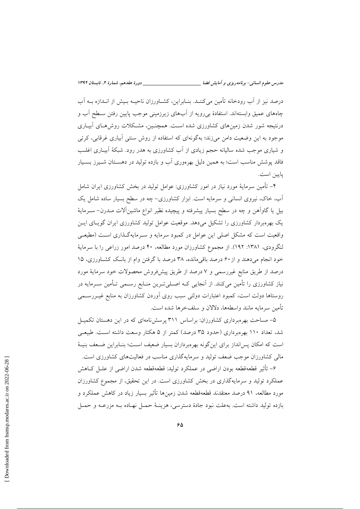درصد نیز از آب رودخانه تأمین میکننـد. بنــابراین، کشــاورزان ناحیــه بـیش از انــدازه بــه آب چاههای عمیق وابستهاند. استفادهٔ بی رویه از آبهای زیرزمینی موجب پایین رفتن سـطح آب و درنتیجه شور شدن زمینهای کشاورزی شده است. همچنـین، مشـکلات روش۵حای آبیـاری موجود به این وضعیت دامن میزند؛ بهگونهای که استفاده از روش سنتی آبیاری غرقابی، کرتی و شیاری موجب شده سالیانه حجم زیادی از آب کشاورزی به هدر رود. شبکهٔ آبیـاری اغلــب فاقد پوشش مناسب است؛ به همین دلیل بهرهوری آب و بازده تولید در دهسـتان شـیـرز بسـیار يايين است.

۴– تأمین سرمایهٔ مورد نیاز در امور کشاورزی: عوامل تولید در بخش کشاورزی ایران شامل آب، خاک، نیروی انسانی و سرمایه است. ابزار کشاورزی- چه در سطح بسیار ساده شامل یک بیل یا گاوآهن و چه در سطح بسیار پیشرفته و پیچیده نظیر انواع ماشینآلات مــدرن– ســرمایهٔ یک بهرهبردار کشاورزی را تشکیل میدهد. موقعیت عوامل تولید کشاورزی ایران گویـای ایـن .<br>واقعیت است که مشکل اصلی این عوامل در کمبود سرمایه و سـرمایهگـذاری اسـت (مطیعـی لنگرودی، ۱۳۸۱: ۱۹۲). از مجموع کشاورزان مورد مطالعه، ۴۰ درصد امور زراعی را با سرمایهٔ خود انجام میدهند و از ۶۰ درصد باقی مانده، ۳۸ درصد با گرفتن وام از بانک کشاورزی، ۱۵ درصد از طریق منابع غیررسمی و ۷ درصد از طریق پیشفروش محصولات خود سرمایهٔ مورد نیاز کشاورزی را تأمین میکنند. از آنجایی کـه اصــلیتــرین منــابع رســمی تــأمین ســرمایه در روستاها دولت است، کمبود اعتبارات دولتی سبب روی آوردن کشاورزان به منابع غیــررســمی تأمين سرمايه مانند واسطهها، دلالان و سلفخرها شده است.

۵– مساحت بهرهبرداری کشاورزان: براساس ۳۱۱ پرسشiامهای که در این دهستان تکمیـل شد، تعداد ۱۱۰ بهرهبرداری (حدود ۳۵ درصد) کمتر از ۵ هکتار وسعت داشته است. طبیعی است که امکان پسانداز برای اینگونه بهرهبرداران بسیار ضعیف اسـت؛ بنـابراین ضـعف بنیـهٔ مالی کشاورزان موجب ضعف تولید و سرمایهگذاری مناسب در فعالیتهای کشاورزی است.

۶– تأثیر قطعهقطعه بودن اراضی در عملکرد تولید: قطعهقطعه شدن اراضی از علــل کــاهش عملکرد تولید و سرمایهگذاری در بخش کشاورزی است. در این تحقیق، از مجموع کشاورزان مورد مطالعه، ۹۱ درصد معتقدند قطعهقطعه شدن زمینها تأثیر بسیار زیاد در کاهش عملکرد و بازده توليد داشته است. بهعلت نبود جادهٔ دسترسی، هزينـهٔ حمـل نهـاده بـه مزرعـه و حمـل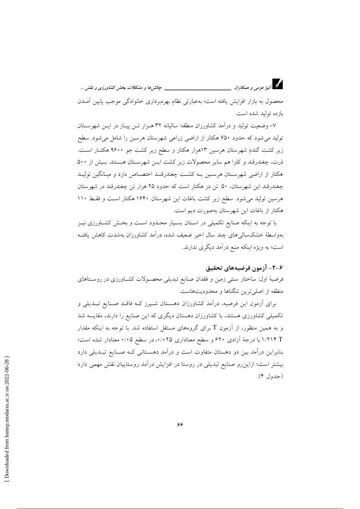محصول به بازار افزایش یافته است؛ بهعبارتی نظام بهرهبرداری خانوادگی موجب پایین آمــدن بازده توليد شده است.

۷- وضعیت تولید و درآمد کشاورزان منطقه: سالیانه ۳۲ هـزار تـن پیـاز در ایـن شهرسـتان تولید می شود که حدود ۶۵۰ هکتار از اراضی زراعی شهرستان هرسین را شامل می شود. سطح زیر کشت گندم شهرستان هرسین ۱۳هزار هکتار و سطح زیر کشت جو ۹۶۰۰ هکتـار اسـت. ذرت، چغندرقند و کلزا هم سایر محصولات زیر کشت ایـن شهرسـتان هسـتند. بـیش از ۵۰۰ هکتار از اراضی شهرستان هرسین بـه کشـت چغندرقنـد اختصـاص دارد و میـانگین تولیـد چغندرقند این شهرستان، ۵۰ تن در هکتار است که حدود ۲۵ هزار تن چغندرقند در شهرستان هرسین تولید می شود. سطح زیر کشت باغات این شهرستان ۱۶۴۰ هکتار است و فقط ۱۱۰ هکتار از باغات این شهرستان بهصورت دیم است.

با توجه به اینکه صنایع تکمیلی در استان بسیار محـدود اسـت و بخـش کشـاورزی نیـز بهواسطهٔ خشکسالی های چند سال اخیر ضعیف شده، درآمد کشاورزان بهشدت کاهش یافتـه است؛ به ویژه اینکه منبع درآمد دیگری ندارند.

## ۶–۲– آزمون فرضیههای تحقیق

فرضیهٔ اول: ساختار سنتی زمین و فقدان صنایع تبدیلی محصـولات کشـاورزی در روسـتاهای منطقه از اصلی ترین تنگناها و محدودیتهاست.

برای اَزمون این فرضیه، دراَمد کشاورزان دهسـتان شـیرز کــه فاقــد صــنایع تبــدیلی و تکمیلی کشاورزی هستند، با کشاورزان دهستان دیگری که این صنایع را دارند، مقایسه شد و به همین منظور، از آزمون T برای گروههای مستقل استفاده شد. با توجه به اینکه مقدار 1/٢١۴ با درجهٔ آزادی ۶۲۰ و سطح معناداری ۰/۰۲۵، در سطح ۰/۰۵ معنادار شده است؛ بنابراین درآمد بین دو دهستان متفاوت است و درآمد دهستانی کـه صـنایع تبـدیلی دارد بیشتر است؛ ازاین٫و صنایع تبدیلی در روستا در افزایش درآمد روستاییان نقش مهمی دارد (جدول ۴).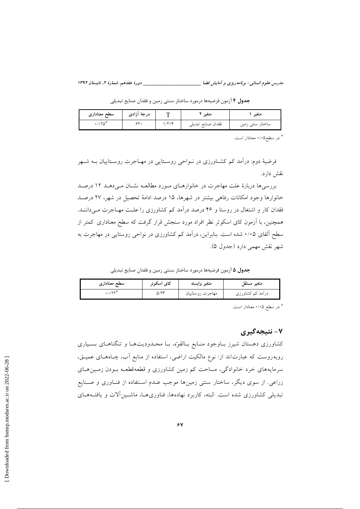مدرس علوم انسانی- برنامه دیزی و آمایش فضا

جدول ۴ آزمون فرضيهها درمورد ساختار سنتي زمين و فقدان صنايع تبديلي

| سطح معناداری | ٔ ازادی<br>د، حة<br>. . | متعير              | سعير                                   |
|--------------|-------------------------|--------------------|----------------------------------------|
|              |                         | فقدان صنابع تبديلي | ۔ ساختار سن <i>نی ر</i> ی <sub>ں</sub> |

\* در سطح۱/۰۵ معنادار است.

فرضیهٔ دوم: درآمد کم کشـاورزی در نــواحی روسـتایی در مهـاجرت روسـتاییان بــه شــهر نقش دارد.

بررسی ها دربارهٔ علت مهاجرت در خانوارهای مورد مطالعه نشان می دهـد ١٢ درصـد خانوارها وجود امکانات رفاهی بیشتر در شهرها، ۱۵ درصد ادامهٔ تحصیل در شهر، ۲۷ درصد فقدان کار و اشتغال در روستا و ۴۶ درصد درآمد کم کشاورزی را علـت مهـاجرت مــ داننــد. همچنین، با آزمون کای اسکوئر نظر افراد مورد سنجش قرار گرفت که سطح معناداری کمتر از سطح آلفای ۰/۰۵ شده است. بنابراین، درآمد کم کشاورزی در نواحی روستایی در مهاجرت به شهر نقش مهمي دارد (جدول ۵).

جدول ۵ آزمون فرضيهها درمورد ساختار سنتي زمين و فقدان صنايع تبديلي

| سطح معناداری | کای اسکوئر | متغير وابسته     | متغير<br>مستقا   |
|--------------|------------|------------------|------------------|
| .7.5         | Q/YY       | مهاجرت روستاييان | درامد کم کشاورزی |

\* در سطح ۰/۰۵ معنادار است.

# ۷- نتيجه گيري

کشاورزی دهستان شیرز بــاوجود منــابع بــالقوّه، بــا محــدودیتهــا و تنگناهــای بســیاری روبه٫وست که عبارتاند از: نوع مالکیت اراضی، استفاده از منابع أب، چـاههــای عمیــق، سرمایههای خرد خانوادگی، مساحت کم زمین کشاورزی و قطعهقطعـه بـودن زمـینهـای زراعی. از سوی دیگر، ساختار سنتی زمینها موجب عـدم اســتفاده از فنــاوری و صــنایع تبدیلی کشاورزی شده است. البته، کاربرد نهادهها، فناوریهـا، ماشـینآلات و یافتـههـای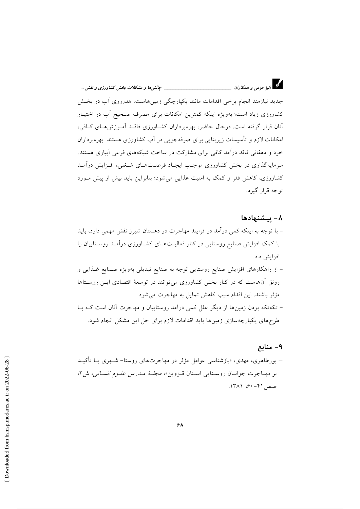د.<br>انیژ عزمی و همکاران \_\_\_\_\_\_\_\_\_\_\_\_\_\_\_\_\_\_\_\_\_\_\_\_\_\_\_\_\_\_\_\_\_ چالش ها و مشکلات بخش کشاورزی و نقش ...

جدید نیازمند انجام برخی اقدامات مانند یکپارچگی زمینهاست. هدرروی آب در بخش کشاورزی زیاد است؛ بهویژه اینکه کمترین امکانات برای مصرف صـحیح آب در اختیـار آنان قرار گرفته است. درحال حاضر، بهرهبرداران کشـاورزی فاقـد آمـوزش۵هـای کـافی، امکانات لازم و تأسیسات زیربنایی برای صرفهجویی در آب کشاورزی هستند. بهرهبرداران خرد و دهقانی فاقد درآمد کافی برای مشارکت در ساخت شبکههای فرعی آبیاری هستند. سرمایهگذاری در بخش کشاورزی موجب ایجـاد فرصـتهـای شـغلی، افـزایش درآمـد کشاورزی، کاهش فقر و کمک به امنیت غذایی می شود؛ بنابراین باید بیش از پیش مـورد توجه قرار گیرد.

### ۸– پیشنهادها

– با توجه به اینکه کمی درآمد در فرایند مهاجرت در دهستان شیرز نقش مهمی دارد، باید با کمک افزایش صنایع روستایی در کنار فعالیتهای کشاورزی درآمـد روسـتاییان را افزايش داد. – از راهکارهای افزایش صنایع روستایی توجه به صنایع تبدیلی بهویژه صـنایع غـذایی و رونق آنهاست که در کنار بخش کشاورزی میتوانند در توسعهٔ اقتصادی ایـن روسـتاها مؤثر باشند. این اقدام سبب کاهش تمایل به مهاجرت می شود. – تکه تکه بودن زمینها از دیگر علل کمی درآمد روستاییان و مهاجرت آنان است کـه بــا طرحهای یکپارچهسازی زمینها باید اقدامات لازم برای حل این مشکل انجام شود.

## ۹- منابع

– پورطاهری، مهدی، «بازشناسی عوامل مؤثر در مهاجرتهای روستا– شـهری بــا تأکیــد بر مهاجرت جوانسان روستایی استان قیزوین»، *مجلبهٔ مبارس علیوم انسانی،* ش۲، صص ۴۱–۶۰، ۱۳۸۱.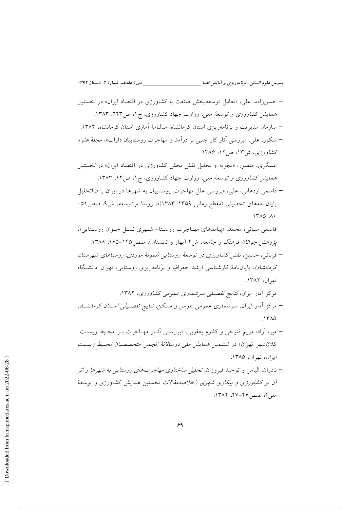- حسنزاده، علی، «تعامل توسعهبخش صنعت با کشاورزی در اقتصاد ایران» در *نخستین* همایش کشاورزی و توسعهٔ ملی، وزارت جهاد کشاورزی، ج۱، ص۲۴۳، ۱۳۸۳.
- سازمان مدیریت و برنامهریزی استان کرمانشاه، سالنامهٔ آماری استان کرمانشاه، ۱۳۸۴.
- شکور، علي، «بررسي آثار کار جنبي بر درآمد و مهاجرت روستاييان داراب»، *مجلهٔ علو*م کشاورزی، ش۱۳، ص۲، ۱۳۸۶.
- عسگری، منصور، «تجزیه و تحلیل نقش بخش کشاورزی در اقتصاد ایران» در نخستین همایش کشاورزی و توسعهٔ ملی، وزارت جهاد کشاورزی، ج ۱، ص ۱۲، ۱۳۸۳.
- قاسمی اردهانی، علی، «بررسی علل مهاجرت روستاییان به شهرها در ایران با فراتحلیل پایاننامههای تحصیلی (مقطع زمانی ۱۳۵۹–۱۳۸۳)»، روستا و توسعه، ش۹، صص ۵۱- $140$   $A$
- قاسمی سیانی، محمد، «پیامدهای مهـاجرت روسـتا- شـهری نسـل جـوان روسـتایی»، یژوهش جوانان فرهنگ و جامعه، ش۲ (بهار و تابستان)، صص ۱۴۵-۱۶۵، ۱۳۸۸.
- قربانی، حسین، نقش کشاورزی در توسعهٔ روستایپ (نیمونهٔ موردی: روستاهای شهرستان کرمانشاه)، پایاننامهٔ کارشناسی ارشد جغرافیا و برنامهریزی روستایی، تهران: دانشگاه تھ ان، ۱۳۸۲.
	- مرکز آمار ایران، *نتایج تفصیلی سرشماری عمومی کشاورزی*، ۱۳۸۲.
- مرکز آمار ایران، سرشماری عمومی نفوس و مسکن، نتایج تفصـیلی اسـتان کرمانشـاه،  $.1710$
- میر، آزاد، مریم فتوحی و کلثوم یعقوبی، «بررسے آثـار مهـاجرت بـر محـیط زیسـت كلان شهر تهران» در ششمین هم*ایش ملی دوسالانهٔ انجمن متخصصان محیط زیس*ت ايران، تهران، ١٣٨۵.
- نادران، الیاس و توحید فیروزان، *تحلیل ساختاری مهاجرتهای روستایی به شهرها و اثر آن بر کشاورزی و بیکاری شهری (خلاصهمقالات نخستین همایش کشاورزی و توسعهٔ* ملي)، صص ۴۶–۴۷، ۱۳۸۲.